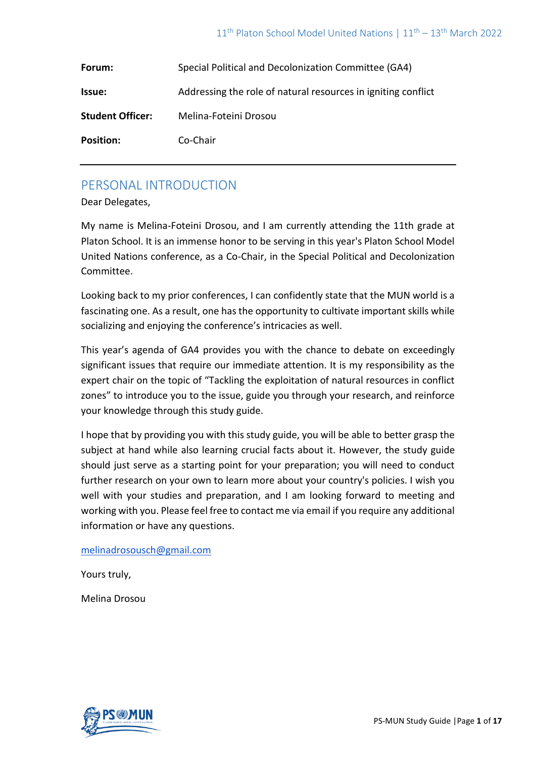| Forum:                  | Special Political and Decolonization Committee (GA4)          |
|-------------------------|---------------------------------------------------------------|
| Issue:                  | Addressing the role of natural resources in igniting conflict |
| <b>Student Officer:</b> | Melina-Foteini Drosou                                         |
| <b>Position:</b>        | Co-Chair                                                      |

# PERSONAL INTRODUCTION

Dear Delegates,

My name is Melina-Foteini Drosou, and I am currently attending the 11th grade at Platon School. It is an immense honor to be serving in this year's Platon School Model United Nations conference, as a Co-Chair, in the Special Political and Decolonization Committee.

Looking back to my prior conferences, I can confidently state that the MUN world is a fascinating one. As a result, one has the opportunity to cultivate important skills while socializing and enjoying the conference's intricacies as well.

This year's agenda of GA4 provides you with the chance to debate on exceedingly significant issues that require our immediate attention. It is my responsibility as the expert chair on the topic of "Tackling the exploitation of natural resources in conflict zones" to introduce you to the issue, guide you through your research, and reinforce your knowledge through this study guide.

I hope that by providing you with this study guide, you will be able to better grasp the subject at hand while also learning crucial facts about it. However, the study guide should just serve as a starting point for your preparation; you will need to conduct further research on your own to learn more about your country's policies. I wish you well with your studies and preparation, and I am looking forward to meeting and working with you. Please feel free to contact me via email if you require any additional information or have any questions.

#### [melinadrosousch@gmail.com](mailto:melinadrosousch@gmail.com)

Yours truly,

Melina Drosou

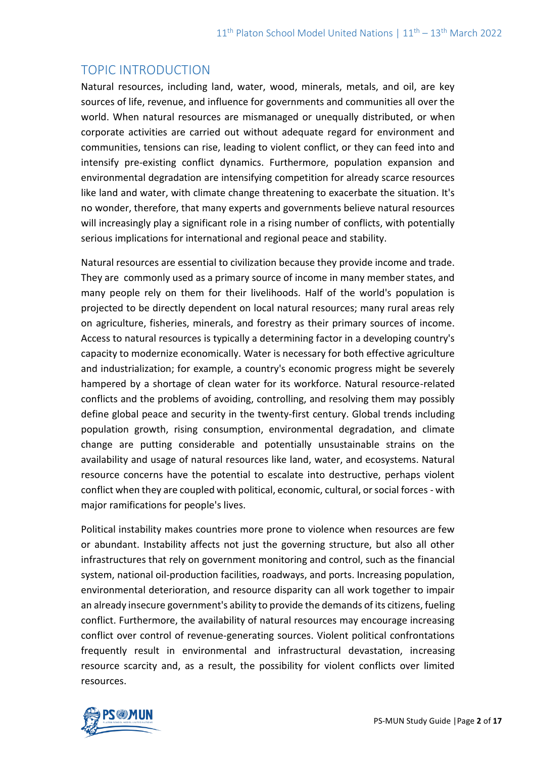# TOPIC INTRODUCTION

Natural resources, including land, water, wood, minerals, metals, and oil, are key sources of life, revenue, and influence for governments and communities all over the world. When natural resources are mismanaged or unequally distributed, or when corporate activities are carried out without adequate regard for environment and communities, tensions can rise, leading to violent conflict, or they can feed into and intensify pre-existing conflict dynamics. Furthermore, population expansion and environmental degradation are intensifying competition for already scarce resources like land and water, with climate change threatening to exacerbate the situation. It's no wonder, therefore, that many experts and governments believe natural resources will increasingly play a significant role in a rising number of conflicts, with potentially serious implications for international and regional peace and stability.

Natural resources are essential to civilization because they provide income and trade. They are commonly used as a primary source of income in many member states, and many people rely on them for their livelihoods. Half of the world's population is projected to be directly dependent on local natural resources; many rural areas rely on agriculture, fisheries, minerals, and forestry as their primary sources of income. Access to natural resources is typically a determining factor in a developing country's capacity to modernize economically. Water is necessary for both effective agriculture and industrialization; for example, a country's economic progress might be severely hampered by a shortage of clean water for its workforce. Natural resource-related conflicts and the problems of avoiding, controlling, and resolving them may possibly define global peace and security in the twenty-first century. Global trends including population growth, rising consumption, environmental degradation, and climate change are putting considerable and potentially unsustainable strains on the availability and usage of natural resources like land, water, and ecosystems. Natural resource concerns have the potential to escalate into destructive, perhaps violent conflict when they are coupled with political, economic, cultural, or social forces - with major ramifications for people's lives.

Political instability makes countries more prone to violence when resources are few or abundant. Instability affects not just the governing structure, but also all other infrastructures that rely on government monitoring and control, such as the financial system, national oil-production facilities, roadways, and ports. Increasing population, environmental deterioration, and resource disparity can all work together to impair an already insecure government's ability to provide the demands of its citizens, fueling conflict. Furthermore, the availability of natural resources may encourage increasing conflict over control of revenue-generating sources. Violent political confrontations frequently result in environmental and infrastructural devastation, increasing resource scarcity and, as a result, the possibility for violent conflicts over limited resources.

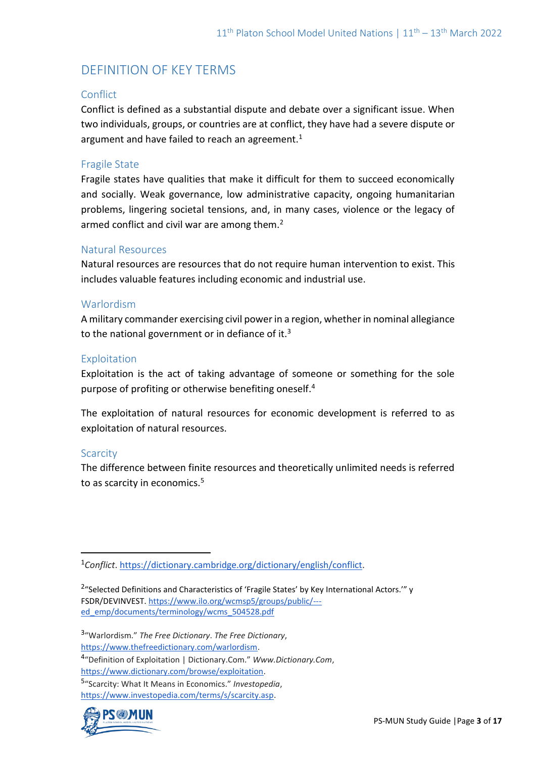# DEFINITION OF KEY TERMS

## **Conflict**

Conflict is defined as a substantial dispute and debate over a significant issue. When two individuals, groups, or countries are at conflict, they have had a severe dispute or argument and have failed to reach an agreement.<sup>1</sup>

### Fragile State

Fragile states have qualities that make it difficult for them to succeed economically and socially. Weak governance, low administrative capacity, ongoing humanitarian problems, lingering societal tensions, and, in many cases, violence or the legacy of armed conflict and civil war are among them.<sup>2</sup>

#### Natural Resources

Natural resources are resources that do not require human intervention to exist. This includes valuable features including economic and industrial use.

#### Warlordism

A military commander exercising civil power in a region, whether in nominal allegiance to the national government or in defiance of it. $3$ 

#### Exploitation

Exploitation is the act of taking advantage of someone or something for the sole purpose of profiting or otherwise benefiting oneself.<sup>4</sup>

The exploitation of natural resources for economic development is referred to as exploitation of natural resources.

## **Scarcity**

The difference between finite resources and theoretically unlimited needs is referred to as scarcity in economics.<sup>5</sup>

3 "Warlordism." *The Free Dictionary*. *The Free Dictionary*,

[https://www.thefreedictionary.com/warlordism.](https://www.thefreedictionary.com/warlordism)

4 "Definition of Exploitation | Dictionary.Com." *Www.Dictionary.Com*, [https://www.dictionary.com/browse/exploitation.](https://www.dictionary.com/browse/exploitation)

5 "Scarcity: What It Means in Economics." *Investopedia*, [https://www.investopedia.com/terms/s/scarcity.asp.](https://www.investopedia.com/terms/s/scarcity.asp)



<sup>1</sup>*Conflict*. [https://dictionary.cambridge.org/dictionary/english/conflict.](https://dictionary.cambridge.org/dictionary/english/conflict)

<sup>&</sup>lt;sup>2</sup>"Selected Definitions and Characteristics of 'Fragile States' by Key International Actors.'" y FSDR/DEVINVEST. [https://www.ilo.org/wcmsp5/groups/public/--](https://www.ilo.org/wcmsp5/groups/public/---ed_emp/documents/terminology/wcms_504528.pdf) [ed\\_emp/documents/terminology/wcms\\_504528.pdf](https://www.ilo.org/wcmsp5/groups/public/---ed_emp/documents/terminology/wcms_504528.pdf)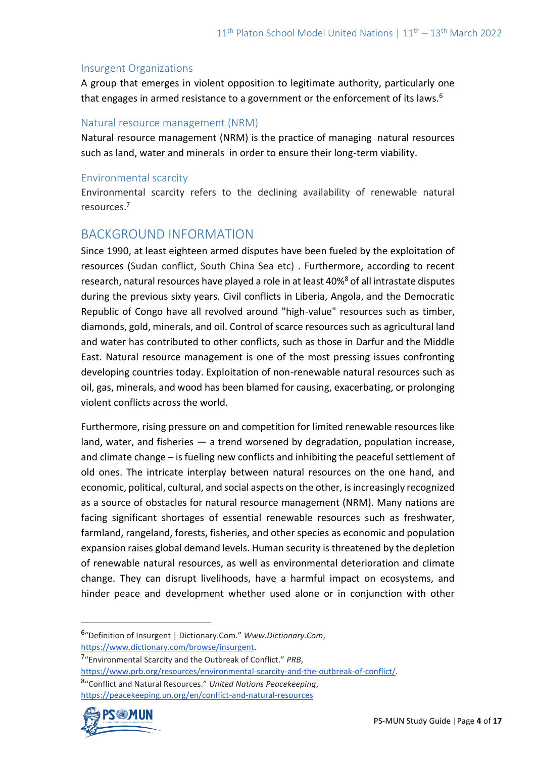#### Insurgent Organizations

A group that emerges in violent opposition to legitimate authority, particularly one that engages in armed resistance to a government or the enforcement of its laws.<sup>6</sup>

### Natural resource management (NRM)

Natural resource management (NRM) is the practice of managing natural resources such as land, water and minerals in order to ensure their long-term viability.

#### Environmental scarcity

Environmental scarcity refers to the declining availability of renewable natural resources.<sup>7</sup>

# BACKGROUND INFORMATION

Since 1990, at least eighteen armed disputes have been fueled by the exploitation of resources (Sudan conflict, South China Sea etc) . Furthermore, according to recent research, natural resources have played a role in at least 40%<sup>8</sup> of all intrastate disputes during the previous sixty years. Civil conflicts in Liberia, Angola, and the Democratic Republic of Congo have all revolved around "high-value" resources such as timber, diamonds, gold, minerals, and oil. Control of scarce resources such as agricultural land and water has contributed to other conflicts, such as those in Darfur and the Middle East. Natural resource management is one of the most pressing issues confronting developing countries today. Exploitation of non-renewable natural resources such as oil, gas, minerals, and wood has been blamed for causing, exacerbating, or prolonging violent conflicts across the world.

Furthermore, rising pressure on and competition for limited renewable resources like land, water, and fisheries — a trend worsened by degradation, population increase, and climate change – is fueling new conflicts and inhibiting the peaceful settlement of old ones. The intricate interplay between natural resources on the one hand, and economic, political, cultural, and social aspects on the other, is increasingly recognized as a source of obstacles for natural resource management (NRM). Many nations are facing significant shortages of essential renewable resources such as freshwater, farmland, rangeland, forests, fisheries, and other species as economic and population expansion raises global demand levels. Human security is threatened by the depletion of renewable natural resources, as well as environmental deterioration and climate change. They can disrupt livelihoods, have a harmful impact on ecosystems, and hinder peace and development whether used alone or in conjunction with other

<sup>8</sup> "Conflict and Natural Resources." *United Nations Peacekeeping*, <https://peacekeeping.un.org/en/conflict-and-natural-resources>



<sup>6</sup> "Definition of Insurgent | Dictionary.Com." *Www.Dictionary.Com*, [https://www.dictionary.com/browse/insurgent.](https://www.dictionary.com/browse/insurgent)

<sup>7</sup> "Environmental Scarcity and the Outbreak of Conflict." *PRB*,

[https://www.prb.org/resources/environmental-scarcity-and-the-outbreak-of-conflict/.](https://www.prb.org/resources/environmental-scarcity-and-the-outbreak-of-conflict/)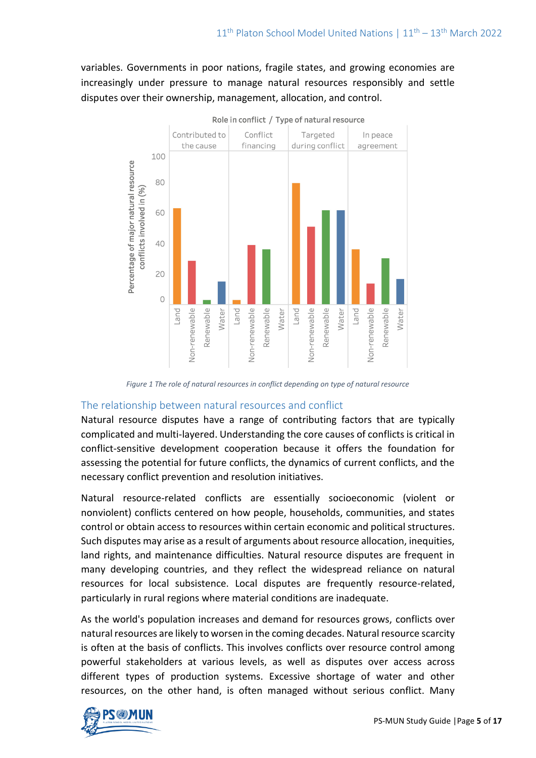variables. Governments in poor nations, fragile states, and growing economies are increasingly under pressure to manage natural resources responsibly and settle disputes over their ownership, management, allocation, and control.



*Figure 1 The role of natural resources in conflict depending on type of natural resource*

## The relationship between natural resources and conflict

Natural resource disputes have a range of contributing factors that are typically complicated and multi-layered. Understanding the core causes of conflicts is critical in conflict-sensitive development cooperation because it offers the foundation for assessing the potential for future conflicts, the dynamics of current conflicts, and the necessary conflict prevention and resolution initiatives.

Natural resource-related conflicts are essentially socioeconomic (violent or nonviolent) conflicts centered on how people, households, communities, and states control or obtain access to resources within certain economic and political structures. Such disputes may arise as a result of arguments about resource allocation, inequities, land rights, and maintenance difficulties. Natural resource disputes are frequent in many developing countries, and they reflect the widespread reliance on natural resources for local subsistence. Local disputes are frequently resource-related, particularly in rural regions where material conditions are inadequate.

As the world's population increases and demand for resources grows, conflicts over natural resources are likely to worsen in the coming decades. Natural resource scarcity is often at the basis of conflicts. This involves conflicts over resource control among powerful stakeholders at various levels, as well as disputes over access across different types of production systems. Excessive shortage of water and other resources, on the other hand, is often managed without serious conflict. Many

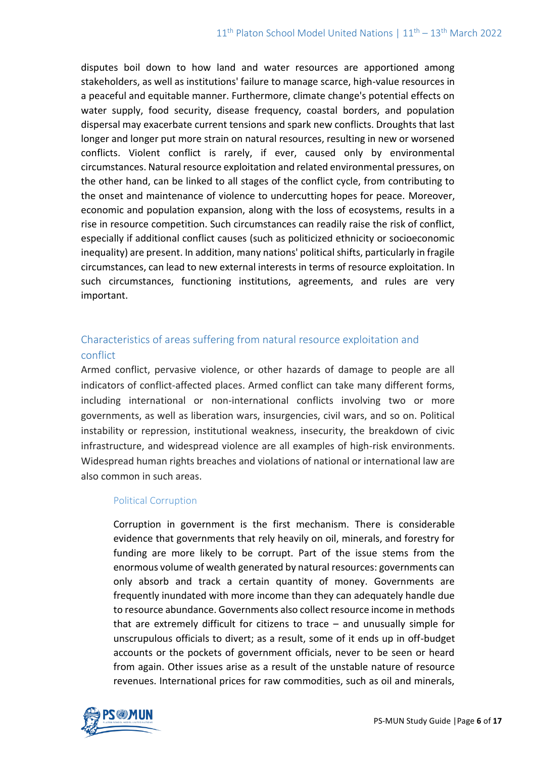disputes boil down to how land and water resources are apportioned among stakeholders, as well as institutions' failure to manage scarce, high-value resources in a peaceful and equitable manner. Furthermore, climate change's potential effects on water supply, food security, disease frequency, coastal borders, and population dispersal may exacerbate current tensions and spark new conflicts. Droughts that last longer and longer put more strain on natural resources, resulting in new or worsened conflicts. Violent conflict is rarely, if ever, caused only by environmental circumstances. Natural resource exploitation and related environmental pressures, on the other hand, can be linked to all stages of the conflict cycle, from contributing to the onset and maintenance of violence to undercutting hopes for peace. Moreover, economic and population expansion, along with the loss of ecosystems, results in a rise in resource competition. Such circumstances can readily raise the risk of conflict, especially if additional conflict causes (such as politicized ethnicity or socioeconomic inequality) are present. In addition, many nations' political shifts, particularly in fragile circumstances, can lead to new external interests in terms of resource exploitation. In such circumstances, functioning institutions, agreements, and rules are very important.

# Characteristics of areas suffering from natural resource exploitation and conflict

Armed conflict, pervasive violence, or other hazards of damage to people are all indicators of conflict-affected places. Armed conflict can take many different forms, including international or non-international conflicts involving two or more governments, as well as liberation wars, insurgencies, civil wars, and so on. Political instability or repression, institutional weakness, insecurity, the breakdown of civic infrastructure, and widespread violence are all examples of high-risk environments. Widespread human rights breaches and violations of national or international law are also common in such areas.

## Political Corruption

Corruption in government is the first mechanism. There is considerable evidence that governments that rely heavily on oil, minerals, and forestry for funding are more likely to be corrupt. Part of the issue stems from the enormous volume of wealth generated by natural resources: governments can only absorb and track a certain quantity of money. Governments are frequently inundated with more income than they can adequately handle due to resource abundance. Governments also collect resource income in methods that are extremely difficult for citizens to trace – and unusually simple for unscrupulous officials to divert; as a result, some of it ends up in off-budget accounts or the pockets of government officials, never to be seen or heard from again. Other issues arise as a result of the unstable nature of resource revenues. International prices for raw commodities, such as oil and minerals,

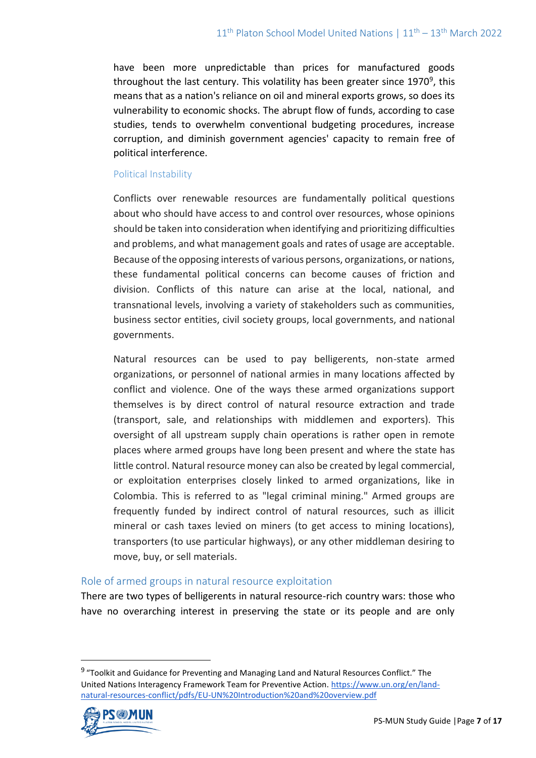have been more unpredictable than prices for manufactured goods throughout the last century. This volatility has been greater since 1970<sup>9</sup>, this means that as a nation's reliance on oil and mineral exports grows, so does its vulnerability to economic shocks. The abrupt flow of funds, according to case studies, tends to overwhelm conventional budgeting procedures, increase corruption, and diminish government agencies' capacity to remain free of political interference.

#### Political Instability

Conflicts over renewable resources are fundamentally political questions about who should have access to and control over resources, whose opinions should be taken into consideration when identifying and prioritizing difficulties and problems, and what management goals and rates of usage are acceptable. Because of the opposing interests of various persons, organizations, or nations, these fundamental political concerns can become causes of friction and division. Conflicts of this nature can arise at the local, national, and transnational levels, involving a variety of stakeholders such as communities, business sector entities, civil society groups, local governments, and national governments.

Natural resources can be used to pay belligerents, non-state armed organizations, or personnel of national armies in many locations affected by conflict and violence. One of the ways these armed organizations support themselves is by direct control of natural resource extraction and trade (transport, sale, and relationships with middlemen and exporters). This oversight of all upstream supply chain operations is rather open in remote places where armed groups have long been present and where the state has little control. Natural resource money can also be created by legal commercial, or exploitation enterprises closely linked to armed organizations, like in Colombia. This is referred to as "legal criminal mining." Armed groups are frequently funded by indirect control of natural resources, such as illicit mineral or cash taxes levied on miners (to get access to mining locations), transporters (to use particular highways), or any other middleman desiring to move, buy, or sell materials.

## Role of armed groups in natural resource exploitation

There are two types of belligerents in natural resource-rich country wars: those who have no overarching interest in preserving the state or its people and are only

<sup>&</sup>lt;sup>9</sup> "Toolkit and Guidance for Preventing and Managing Land and Natural Resources Conflict." The United Nations Interagency Framework Team for Preventive Action. [https://www.un.org/en/land](https://www.un.org/en/land-natural-resources-conflict/pdfs/EU-UN%20Introduction%20and%20overview.pdf)[natural-resources-conflict/pdfs/EU-UN%20Introduction%20and%20overview.pdf](https://www.un.org/en/land-natural-resources-conflict/pdfs/EU-UN%20Introduction%20and%20overview.pdf) 

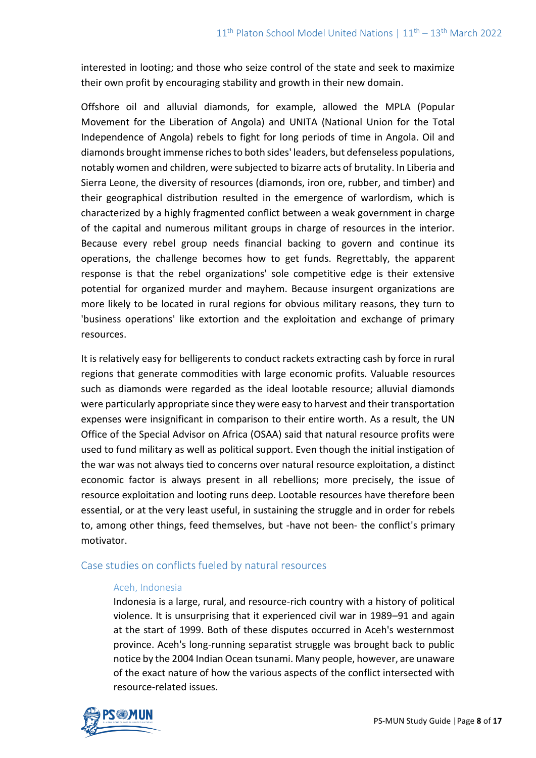interested in looting; and those who seize control of the state and seek to maximize their own profit by encouraging stability and growth in their new domain.

Offshore oil and alluvial diamonds, for example, allowed the MPLA (Popular Movement for the Liberation of Angola) and UNITA (National Union for the Total Independence of Angola) rebels to fight for long periods of time in Angola. Oil and diamonds brought immense riches to both sides' leaders, but defenseless populations, notably women and children, were subjected to bizarre acts of brutality. In Liberia and Sierra Leone, the diversity of resources (diamonds, iron ore, rubber, and timber) and their geographical distribution resulted in the emergence of warlordism, which is characterized by a highly fragmented conflict between a weak government in charge of the capital and numerous militant groups in charge of resources in the interior. Because every rebel group needs financial backing to govern and continue its operations, the challenge becomes how to get funds. Regrettably, the apparent response is that the rebel organizations' sole competitive edge is their extensive potential for organized murder and mayhem. Because insurgent organizations are more likely to be located in rural regions for obvious military reasons, they turn to 'business operations' like extortion and the exploitation and exchange of primary resources.

It is relatively easy for belligerents to conduct rackets extracting cash by force in rural regions that generate commodities with large economic profits. Valuable resources such as diamonds were regarded as the ideal lootable resource; alluvial diamonds were particularly appropriate since they were easy to harvest and their transportation expenses were insignificant in comparison to their entire worth. As a result, the UN Office of the Special Advisor on Africa (OSAA) said that natural resource profits were used to fund military as well as political support. Even though the initial instigation of the war was not always tied to concerns over natural resource exploitation, a distinct economic factor is always present in all rebellions; more precisely, the issue of resource exploitation and looting runs deep. Lootable resources have therefore been essential, or at the very least useful, in sustaining the struggle and in order for rebels to, among other things, feed themselves, but -have not been- the conflict's primary motivator.

## Case studies on conflicts fueled by natural resources

#### Aceh, Indonesia

Indonesia is a large, rural, and resource-rich country with a history of political violence. It is unsurprising that it experienced civil war in 1989–91 and again at the start of 1999. Both of these disputes occurred in Aceh's westernmost province. Aceh's long-running separatist struggle was brought back to public notice by the 2004 Indian Ocean tsunami. Many people, however, are unaware of the exact nature of how the various aspects of the conflict intersected with resource-related issues.

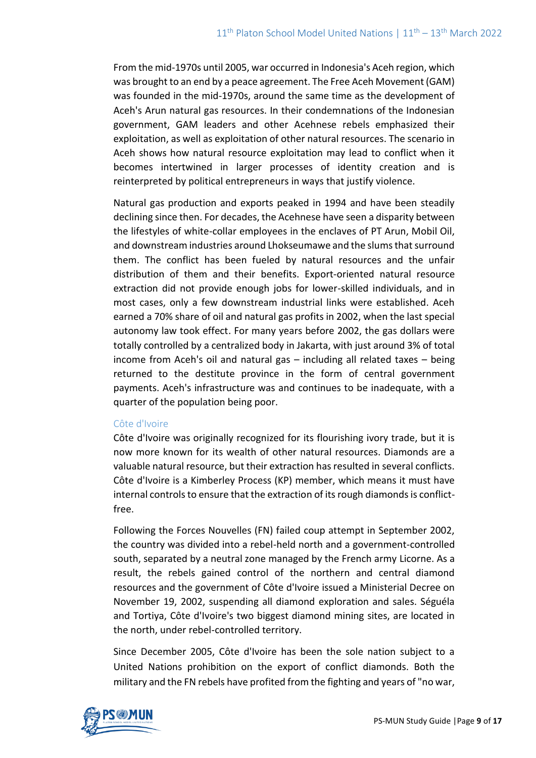From the mid-1970s until 2005, war occurred in Indonesia's Aceh region, which was brought to an end by a peace agreement. The Free Aceh Movement (GAM) was founded in the mid-1970s, around the same time as the development of Aceh's Arun natural gas resources. In their condemnations of the Indonesian government, GAM leaders and other Acehnese rebels emphasized their exploitation, as well as exploitation of other natural resources. The scenario in Aceh shows how natural resource exploitation may lead to conflict when it becomes intertwined in larger processes of identity creation and is reinterpreted by political entrepreneurs in ways that justify violence.

Natural gas production and exports peaked in 1994 and have been steadily declining since then. For decades, the Acehnese have seen a disparity between the lifestyles of white-collar employees in the enclaves of PT Arun, Mobil Oil, and downstream industries around Lhokseumawe and the slums that surround them. The conflict has been fueled by natural resources and the unfair distribution of them and their benefits. Export-oriented natural resource extraction did not provide enough jobs for lower-skilled individuals, and in most cases, only a few downstream industrial links were established. Aceh earned a 70% share of oil and natural gas profits in 2002, when the last special autonomy law took effect. For many years before 2002, the gas dollars were totally controlled by a centralized body in Jakarta, with just around 3% of total income from Aceh's oil and natural gas – including all related taxes – being returned to the destitute province in the form of central government payments. Aceh's infrastructure was and continues to be inadequate, with a quarter of the population being poor.

#### Côte d'Ivoire

Côte d'Ivoire was originally recognized for its flourishing ivory trade, but it is now more known for its wealth of other natural resources. Diamonds are a valuable natural resource, but their extraction has resulted in several conflicts. Côte d'Ivoire is a Kimberley Process (KP) member, which means it must have internal controls to ensure that the extraction of its rough diamonds is conflictfree.

Following the Forces Nouvelles (FN) failed coup attempt in September 2002, the country was divided into a rebel-held north and a government-controlled south, separated by a neutral zone managed by the French army Licorne. As a result, the rebels gained control of the northern and central diamond resources and the government of Côte d'Ivoire issued a Ministerial Decree on November 19, 2002, suspending all diamond exploration and sales. Séguéla and Tortiya, Côte d'Ivoire's two biggest diamond mining sites, are located in the north, under rebel-controlled territory.

Since December 2005, Côte d'Ivoire has been the sole nation subject to a United Nations prohibition on the export of conflict diamonds. Both the military and the FN rebels have profited from the fighting and years of "no war,

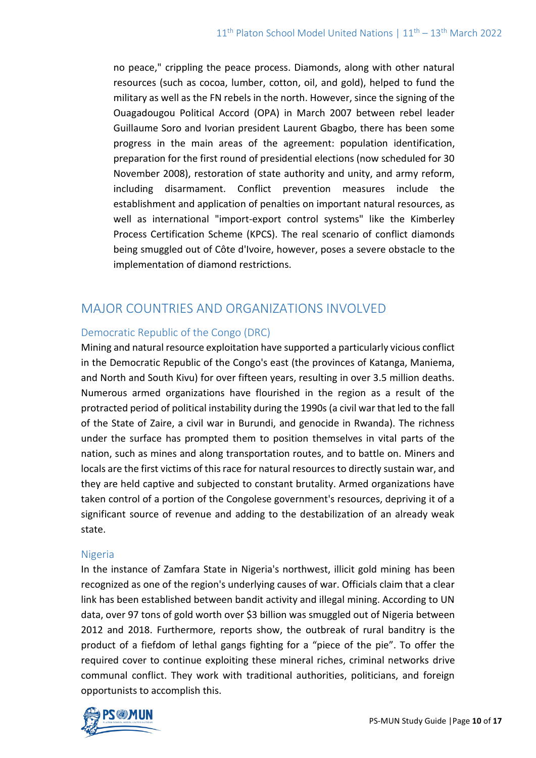no peace," crippling the peace process. Diamonds, along with other natural resources (such as cocoa, lumber, cotton, oil, and gold), helped to fund the military as well as the FN rebels in the north. However, since the signing of the Ouagadougou Political Accord (OPA) in March 2007 between rebel leader Guillaume Soro and Ivorian president Laurent Gbagbo, there has been some progress in the main areas of the agreement: population identification, preparation for the first round of presidential elections (now scheduled for 30 November 2008), restoration of state authority and unity, and army reform, including disarmament. Conflict prevention measures include the establishment and application of penalties on important natural resources, as well as international "import-export control systems" like the Kimberley Process Certification Scheme (KPCS). The real scenario of conflict diamonds being smuggled out of Côte d'Ivoire, however, poses a severe obstacle to the implementation of diamond restrictions.

# MAJOR COUNTRIES AND ORGANIZATIONS INVOLVED

## Democratic Republic of the Congo (DRC)

Mining and natural resource exploitation have supported a particularly vicious conflict in the Democratic Republic of the Congo's east (the provinces of Katanga, Maniema, and North and South Kivu) for over fifteen years, resulting in over 3.5 million deaths. Numerous armed organizations have flourished in the region as a result of the protracted period of political instability during the 1990s (a civil war that led to the fall of the State of Zaire, a civil war in Burundi, and genocide in Rwanda). The richness under the surface has prompted them to position themselves in vital parts of the nation, such as mines and along transportation routes, and to battle on. Miners and locals are the first victims of this race for natural resources to directly sustain war, and they are held captive and subjected to constant brutality. Armed organizations have taken control of a portion of the Congolese government's resources, depriving it of a significant source of revenue and adding to the destabilization of an already weak state.

## Nigeria

In the instance of Zamfara State in Nigeria's northwest, illicit gold mining has been recognized as one of the region's underlying causes of war. Officials claim that a clear link has been established between bandit activity and illegal mining. According to UN data, over 97 tons of gold worth over \$3 billion was smuggled out of Nigeria between 2012 and 2018. Furthermore, reports show, the outbreak of rural banditry is the product of a fiefdom of lethal gangs fighting for a "piece of the pie". To offer the required cover to continue exploiting these mineral riches, criminal networks drive communal conflict. They work with traditional authorities, politicians, and foreign opportunists to accomplish this.

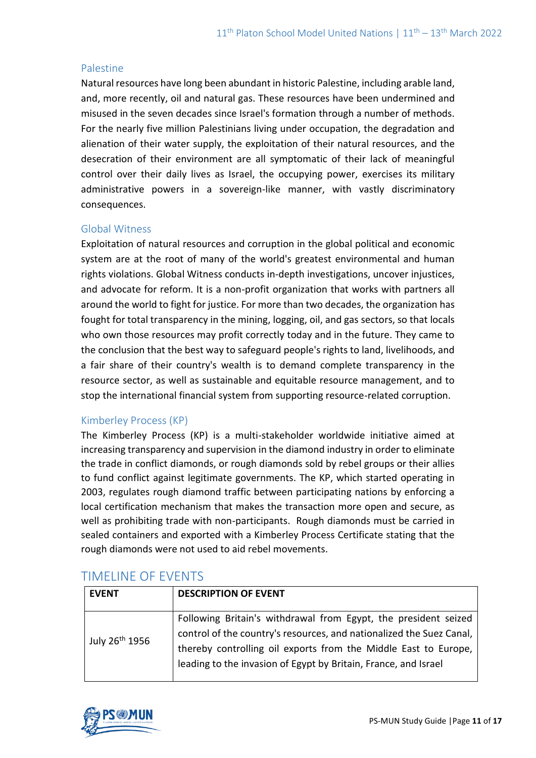### Palestine

Natural resources have long been abundant in historic Palestine, including arable land, and, more recently, oil and natural gas. These resources have been undermined and misused in the seven decades since Israel's formation through a number of methods. For the nearly five million Palestinians living under occupation, the degradation and alienation of their water supply, the exploitation of their natural resources, and the desecration of their environment are all symptomatic of their lack of meaningful control over their daily lives as Israel, the occupying power, exercises its military administrative powers in a sovereign-like manner, with vastly discriminatory consequences.

## Global Witness

Exploitation of natural resources and corruption in the global political and economic system are at the root of many of the world's greatest environmental and human rights violations. Global Witness conducts in-depth investigations, uncover injustices, and advocate for reform. It is a non-profit organization that works with partners all around the world to fight for justice. For more than two decades, the organization has fought for total transparency in the mining, logging, oil, and gas sectors, so that locals who own those resources may profit correctly today and in the future. They came to the conclusion that the best way to safeguard people's rights to land, livelihoods, and a fair share of their country's wealth is to demand complete transparency in the resource sector, as well as sustainable and equitable resource management, and to stop the international financial system from supporting resource-related corruption.

# Kimberley Process (KP)

The Kimberley Process (KP) is a multi-stakeholder worldwide initiative aimed at increasing transparency and supervision in the diamond industry in order to eliminate the trade in conflict diamonds, or rough diamonds sold by rebel groups or their allies to fund conflict against legitimate governments. The KP, which started operating in 2003, regulates rough diamond traffic between participating nations by enforcing a local certification mechanism that makes the transaction more open and secure, as well as prohibiting trade with non-participants. Rough diamonds must be carried in sealed containers and exported with a Kimberley Process Certificate stating that the rough diamonds were not used to aid rebel movements.

| <b>EVENT</b>               | <b>DESCRIPTION OF EVENT</b>                                                                                                                                                                                                                                                   |
|----------------------------|-------------------------------------------------------------------------------------------------------------------------------------------------------------------------------------------------------------------------------------------------------------------------------|
| July 26 <sup>th</sup> 1956 | Following Britain's withdrawal from Egypt, the president seized<br>control of the country's resources, and nationalized the Suez Canal,<br>thereby controlling oil exports from the Middle East to Europe,<br>leading to the invasion of Egypt by Britain, France, and Israel |

# TIMELINE OF EVENTS

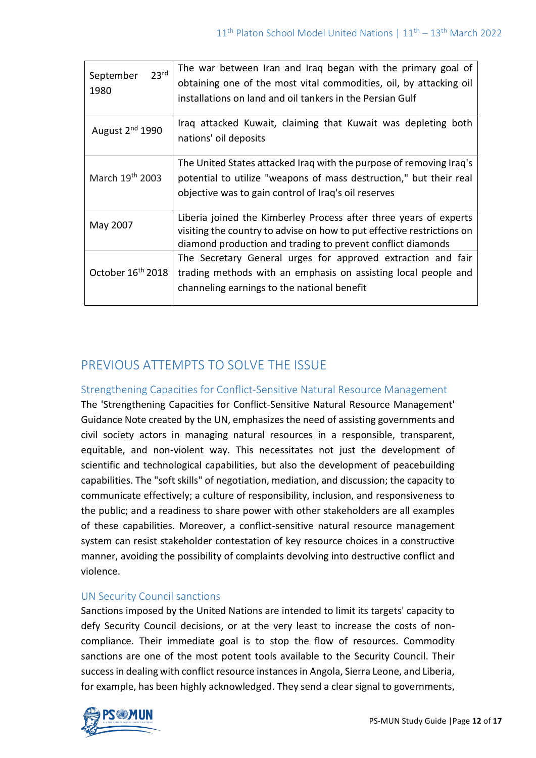| 23 <sup>rd</sup><br>September<br>1980 | The war between Iran and Iraq began with the primary goal of<br>obtaining one of the most vital commodities, oil, by attacking oil<br>installations on land and oil tankers in the Persian Gulf            |
|---------------------------------------|------------------------------------------------------------------------------------------------------------------------------------------------------------------------------------------------------------|
| August $2nd$ 1990                     | Iraq attacked Kuwait, claiming that Kuwait was depleting both<br>nations' oil deposits                                                                                                                     |
| March 19th 2003                       | The United States attacked Iraq with the purpose of removing Iraq's<br>potential to utilize "weapons of mass destruction," but their real<br>objective was to gain control of Iraq's oil reserves          |
| May 2007                              | Liberia joined the Kimberley Process after three years of experts<br>visiting the country to advise on how to put effective restrictions on<br>diamond production and trading to prevent conflict diamonds |
| October 16 <sup>th</sup> 2018         | The Secretary General urges for approved extraction and fair<br>trading methods with an emphasis on assisting local people and<br>channeling earnings to the national benefit                              |

# PREVIOUS ATTEMPTS TO SOLVE THE ISSUE

Strengthening Capacities for Conflict-Sensitive Natural Resource Management The 'Strengthening Capacities for Conflict-Sensitive Natural Resource Management' Guidance Note created by the UN, emphasizes the need of assisting governments and civil society actors in managing natural resources in a responsible, transparent, equitable, and non-violent way. This necessitates not just the development of scientific and technological capabilities, but also the development of peacebuilding capabilities. The "soft skills" of negotiation, mediation, and discussion; the capacity to communicate effectively; a culture of responsibility, inclusion, and responsiveness to the public; and a readiness to share power with other stakeholders are all examples of these capabilities. Moreover, a conflict-sensitive natural resource management system can resist stakeholder contestation of key resource choices in a constructive manner, avoiding the possibility of complaints devolving into destructive conflict and violence.

# UN Security Council sanctions

Sanctions imposed by the United Nations are intended to limit its targets' capacity to defy Security Council decisions, or at the very least to increase the costs of noncompliance. Their immediate goal is to stop the flow of resources. Commodity sanctions are one of the most potent tools available to the Security Council. Their success in dealing with conflict resource instances in Angola, Sierra Leone, and Liberia, for example, has been highly acknowledged. They send a clear signal to governments,

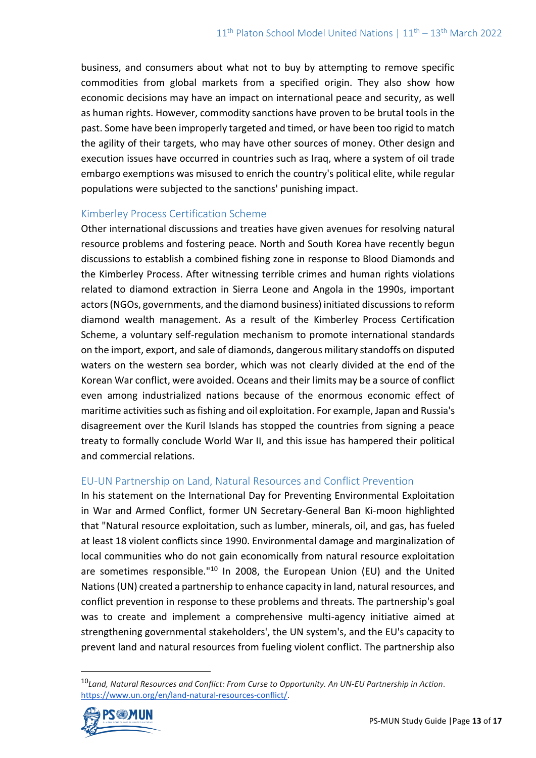business, and consumers about what not to buy by attempting to remove specific commodities from global markets from a specified origin. They also show how economic decisions may have an impact on international peace and security, as well as human rights. However, commodity sanctions have proven to be brutal tools in the past. Some have been improperly targeted and timed, or have been too rigid to match the agility of their targets, who may have other sources of money. Other design and execution issues have occurred in countries such as Iraq, where a system of oil trade embargo exemptions was misused to enrich the country's political elite, while regular populations were subjected to the sanctions' punishing impact.

## Kimberley Process Certification Scheme

Other international discussions and treaties have given avenues for resolving natural resource problems and fostering peace. North and South Korea have recently begun discussions to establish a combined fishing zone in response to Blood Diamonds and the Kimberley Process. After witnessing terrible crimes and human rights violations related to diamond extraction in Sierra Leone and Angola in the 1990s, important actors (NGOs, governments, and the diamond business) initiated discussions to reform diamond wealth management. As a result of the Kimberley Process Certification Scheme, a voluntary self-regulation mechanism to promote international standards on the import, export, and sale of diamonds, dangerous military standoffs on disputed waters on the western sea border, which was not clearly divided at the end of the Korean War conflict, were avoided. Oceans and their limits may be a source of conflict even among industrialized nations because of the enormous economic effect of maritime activities such as fishing and oil exploitation. For example, Japan and Russia's disagreement over the Kuril Islands has stopped the countries from signing a peace treaty to formally conclude World War II, and this issue has hampered their political and commercial relations.

# EU-UN Partnership on Land, Natural Resources and Conflict Prevention

In his statement on the International Day for Preventing Environmental Exploitation in War and Armed Conflict, former UN Secretary-General Ban Ki-moon highlighted that "Natural resource exploitation, such as lumber, minerals, oil, and gas, has fueled at least 18 violent conflicts since 1990. Environmental damage and marginalization of local communities who do not gain economically from natural resource exploitation are sometimes responsible."<sup>10</sup> In 2008, the European Union (EU) and the United Nations (UN) created a partnership to enhance capacity in land, natural resources, and conflict prevention in response to these problems and threats. The partnership's goal was to create and implement a comprehensive multi-agency initiative aimed at strengthening governmental stakeholders', the UN system's, and the EU's capacity to prevent land and natural resources from fueling violent conflict. The partnership also

<sup>10</sup>*Land, Natural Resources and Conflict: From Curse to Opportunity. An UN-EU Partnership in Action*. [https://www.un.org/en/land-natural-resources-conflict/.](https://www.un.org/en/land-natural-resources-conflict/) 

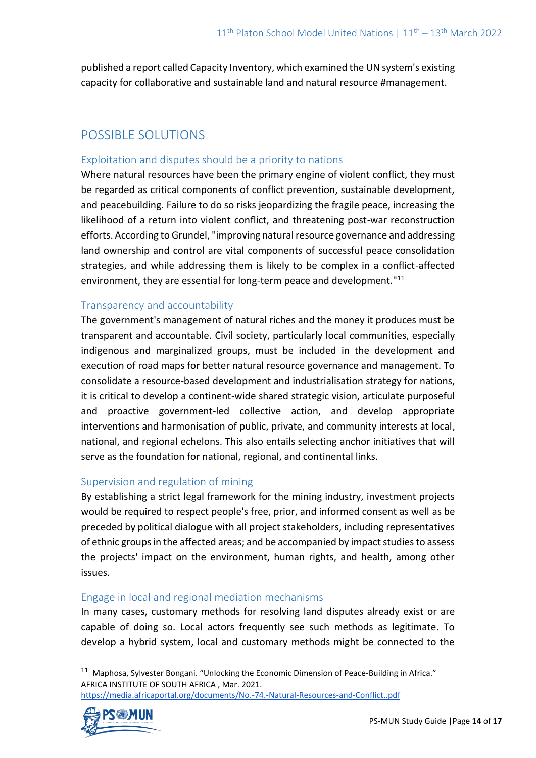published a report called Capacity Inventory, which examined the UN system's existing capacity for collaborative and sustainable land and natural resource #management.

# POSSIBLE SOLUTIONS

## Exploitation and disputes should be a priority to nations

Where natural resources have been the primary engine of violent conflict, they must be regarded as critical components of conflict prevention, sustainable development, and peacebuilding. Failure to do so risks jeopardizing the fragile peace, increasing the likelihood of a return into violent conflict, and threatening post-war reconstruction efforts. According to Grundel, "improving natural resource governance and addressing land ownership and control are vital components of successful peace consolidation strategies, and while addressing them is likely to be complex in a conflict-affected environment, they are essential for long-term peace and development."<sup>11</sup>

## Transparency and accountability

The government's management of natural riches and the money it produces must be transparent and accountable. Civil society, particularly local communities, especially indigenous and marginalized groups, must be included in the development and execution of road maps for better natural resource governance and management. To consolidate a resource-based development and industrialisation strategy for nations, it is critical to develop a continent-wide shared strategic vision, articulate purposeful and proactive government-led collective action, and develop appropriate interventions and harmonisation of public, private, and community interests at local, national, and regional echelons. This also entails selecting anchor initiatives that will serve as the foundation for national, regional, and continental links.

# Supervision and regulation of mining

By establishing a strict legal framework for the mining industry, investment projects would be required to respect people's free, prior, and informed consent as well as be preceded by political dialogue with all project stakeholders, including representatives of ethnic groups in the affected areas; and be accompanied by impact studies to assess the projects' impact on the environment, human rights, and health, among other issues.

# Engage in local and regional mediation mechanisms

In many cases, customary methods for resolving land disputes already exist or are capable of doing so. Local actors frequently see such methods as legitimate. To develop a hybrid system, local and customary methods might be connected to the

<https://media.africaportal.org/documents/No.-74.-Natural-Resources-and-Conflict..pdf>



<sup>&</sup>lt;sup>11</sup> Maphosa, Sylvester Bongani. "Unlocking the Economic Dimension of Peace-Building in Africa." AFRICA INSTITUTE OF SOUTH AFRICA , Mar. 2021.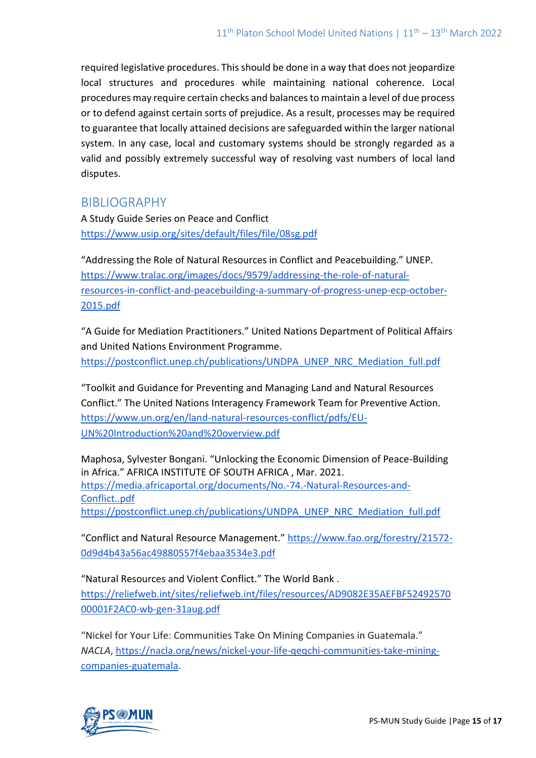required legislative procedures. This should be done in a way that does not jeopardize local structures and procedures while maintaining national coherence. Local procedures may require certain checks and balances to maintain a level of due process or to defend against certain sorts of prejudice. As a result, processes may be required to guarantee that locally attained decisions are safeguarded within the larger national system. In any case, local and customary systems should be strongly regarded as a valid and possibly extremely successful way of resolving vast numbers of local land disputes.

# BIBLIOGRAPHY

A Study Guide Series on Peace and Conflict <https://www.usip.org/sites/default/files/file/08sg.pdf>

"Addressing the Role of Natural Resources in Conflict and Peacebuilding." UNEP. [https://www.tralac.org/images/docs/9579/addressing-the-role-of-natural](https://www.tralac.org/images/docs/9579/addressing-the-role-of-natural-resources-in-conflict-and-peacebuilding-a-summary-of-progress-unep-ecp-october-2015.pdf)[resources-in-conflict-and-peacebuilding-a-summary-of-progress-unep-ecp-october-](https://www.tralac.org/images/docs/9579/addressing-the-role-of-natural-resources-in-conflict-and-peacebuilding-a-summary-of-progress-unep-ecp-october-2015.pdf)[2015.pdf](https://www.tralac.org/images/docs/9579/addressing-the-role-of-natural-resources-in-conflict-and-peacebuilding-a-summary-of-progress-unep-ecp-october-2015.pdf)

"A Guide for Mediation Practitioners." United Nations Department of Political Affairs and United Nations Environment Programme. [https://postconflict.unep.ch/publications/UNDPA\\_UNEP\\_NRC\\_Mediation\\_full.pdf](https://postconflict.unep.ch/publications/UNDPA_UNEP_NRC_Mediation_full.pdf)

"Toolkit and Guidance for Preventing and Managing Land and Natural Resources Conflict." The United Nations Interagency Framework Team for Preventive Action. [https://www.un.org/en/land-natural-resources-conflict/pdfs/EU-](https://www.un.org/en/land-natural-resources-conflict/pdfs/EU-UN%20Introduction%20and%20overview.pdf)[UN%20Introduction%20and%20overview.pdf](https://www.un.org/en/land-natural-resources-conflict/pdfs/EU-UN%20Introduction%20and%20overview.pdf) 

Maphosa, Sylvester Bongani. "Unlocking the Economic Dimension of Peace-Building in Africa." AFRICA INSTITUTE OF SOUTH AFRICA , Mar. 2021. [https://media.africaportal.org/documents/No.-74.-Natural-Resources-and-](https://media.africaportal.org/documents/No.-74.-Natural-Resources-and-Conflict..pdf)[Conflict..pdf](https://media.africaportal.org/documents/No.-74.-Natural-Resources-and-Conflict..pdf) [https://postconflict.unep.ch/publications/UNDPA\\_UNEP\\_NRC\\_Mediation\\_full.pdf](https://postconflict.unep.ch/publications/UNDPA_UNEP_NRC_Mediation_full.pdf)

"Conflict and Natural Resource Management." [https://www.fao.org/forestry/21572-](https://www.fao.org/forestry/21572-0d9d4b43a56ac49880557f4ebaa3534e3.pdf) [0d9d4b43a56ac49880557f4ebaa3534e3.pdf](https://www.fao.org/forestry/21572-0d9d4b43a56ac49880557f4ebaa3534e3.pdf)

"Natural Resources and Violent Conflict." The World Bank . [https://reliefweb.int/sites/reliefweb.int/files/resources/AD9082E35AEFBF52492570](https://reliefweb.int/sites/reliefweb.int/files/resources/AD9082E35AEFBF5249257000001F2AC0-wb-gen-31aug.pdf) [00001F2AC0-wb-gen-31aug.pdf](https://reliefweb.int/sites/reliefweb.int/files/resources/AD9082E35AEFBF5249257000001F2AC0-wb-gen-31aug.pdf)

"Nickel for Your Life: Communities Take On Mining Companies in Guatemala." *NACLA*, [https://nacla.org/news/nickel-your-life-qeqchi-communities-take-mining](https://nacla.org/news/nickel-your-life-qeqchi-communities-take-mining-companies-guatemala)[companies-guatemala.](https://nacla.org/news/nickel-your-life-qeqchi-communities-take-mining-companies-guatemala)

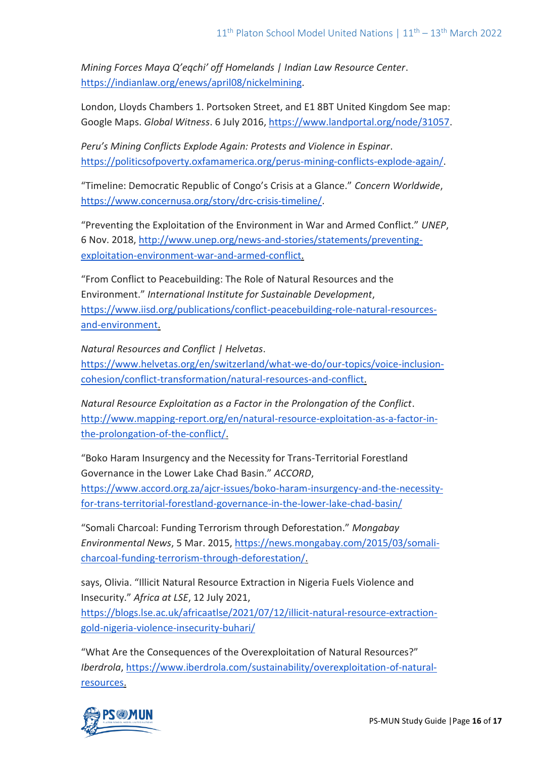*Mining Forces Maya Q'eqchi' off Homelands | Indian Law Resource Center*. [https://indianlaw.org/enews/april08/nickelmining.](https://indianlaw.org/enews/april08/nickelmining)

London, Lloyds Chambers 1. Portsoken Street, and E1 8BT United Kingdom See map: Google Maps. *Global Witness*. 6 July 2016[, https://www.landportal.org/node/31057.](https://www.landportal.org/node/31057)

*Peru's Mining Conflicts Explode Again: Protests and Violence in Espinar*. [https://politicsofpoverty.oxfamamerica.org/perus-mining-conflicts-explode-again/.](https://politicsofpoverty.oxfamamerica.org/perus-mining-conflicts-explode-again/)

"Timeline: Democratic Republic of Congo's Crisis at a Glance." *Concern Worldwide*, [https://www.concernusa.org/story/drc-crisis-timeline/.](https://www.concernusa.org/story/drc-crisis-timeline/)

"Preventing the Exploitation of the Environment in War and Armed Conflict." *UNEP*, 6 Nov. 2018, [http://www.unep.org/news-and-stories/statements/preventing](http://www.unep.org/news-and-stories/statements/preventing-exploitation-environment-war-and-armed-conflict)[exploitation-environment-war-and-armed-conflict.](http://www.unep.org/news-and-stories/statements/preventing-exploitation-environment-war-and-armed-conflict)

"From Conflict to Peacebuilding: The Role of Natural Resources and the Environment." *International Institute for Sustainable Development*, [https://www.iisd.org/publications/conflict-peacebuilding-role-natural-resources](https://www.iisd.org/publications/conflict-peacebuilding-role-natural-resources-and-environment)[and-environment.](https://www.iisd.org/publications/conflict-peacebuilding-role-natural-resources-and-environment)

*Natural Resources and Conflict | Helvetas*.

[https://www.helvetas.org/en/switzerland/what-we-do/our-topics/voice-inclusion](https://www.helvetas.org/en/switzerland/what-we-do/our-topics/voice-inclusion-cohesion/conflict-transformation/natural-resources-and-conflict)[cohesion/conflict-transformation/natural-resources-and-conflict.](https://www.helvetas.org/en/switzerland/what-we-do/our-topics/voice-inclusion-cohesion/conflict-transformation/natural-resources-and-conflict)

*Natural Resource Exploitation as a Factor in the Prolongation of the Conflict*. [http://www.mapping-report.org/en/natural-resource-exploitation-as-a-factor-in](http://www.mapping-report.org/en/natural-resource-exploitation-as-a-factor-in-the-prolongation-of-the-conflict/)[the-prolongation-of-the-conflict/.](http://www.mapping-report.org/en/natural-resource-exploitation-as-a-factor-in-the-prolongation-of-the-conflict/)

"Boko Haram Insurgency and the Necessity for Trans-Territorial Forestland Governance in the Lower Lake Chad Basin." *ACCORD*,

[https://www.accord.org.za/ajcr-issues/boko-haram-insurgency-and-the-necessity](https://www.accord.org.za/ajcr-issues/boko-haram-insurgency-and-the-necessity-for-trans-territorial-forestland-governance-in-the-lower-lake-chad-basin/)[for-trans-territorial-forestland-governance-in-the-lower-lake-chad-basin/](https://www.accord.org.za/ajcr-issues/boko-haram-insurgency-and-the-necessity-for-trans-territorial-forestland-governance-in-the-lower-lake-chad-basin/)

"Somali Charcoal: Funding Terrorism through Deforestation." *Mongabay Environmental News*, 5 Mar. 2015, [https://news.mongabay.com/2015/03/somali](https://news.mongabay.com/2015/03/somali-charcoal-funding-terrorism-through-deforestation/)[charcoal-funding-terrorism-through-deforestation/.](https://news.mongabay.com/2015/03/somali-charcoal-funding-terrorism-through-deforestation/)

says, Olivia. "Illicit Natural Resource Extraction in Nigeria Fuels Violence and Insecurity." *Africa at LSE*, 12 July 2021, [https://blogs.lse.ac.uk/africaatlse/2021/07/12/illicit-natural-resource-extraction](https://blogs.lse.ac.uk/africaatlse/2021/07/12/illicit-natural-resource-extraction-gold-nigeria-violence-insecurity-buhari/)[gold-nigeria-violence-insecurity-buhari/](https://blogs.lse.ac.uk/africaatlse/2021/07/12/illicit-natural-resource-extraction-gold-nigeria-violence-insecurity-buhari/)

"What Are the Consequences of the Overexploitation of Natural Resources?" *Iberdrola*, [https://www.iberdrola.com/sustainability/overexploitation-of-natural](https://www.iberdrola.com/sustainability/overexploitation-of-natural-resources)[resources.](https://www.iberdrola.com/sustainability/overexploitation-of-natural-resources)